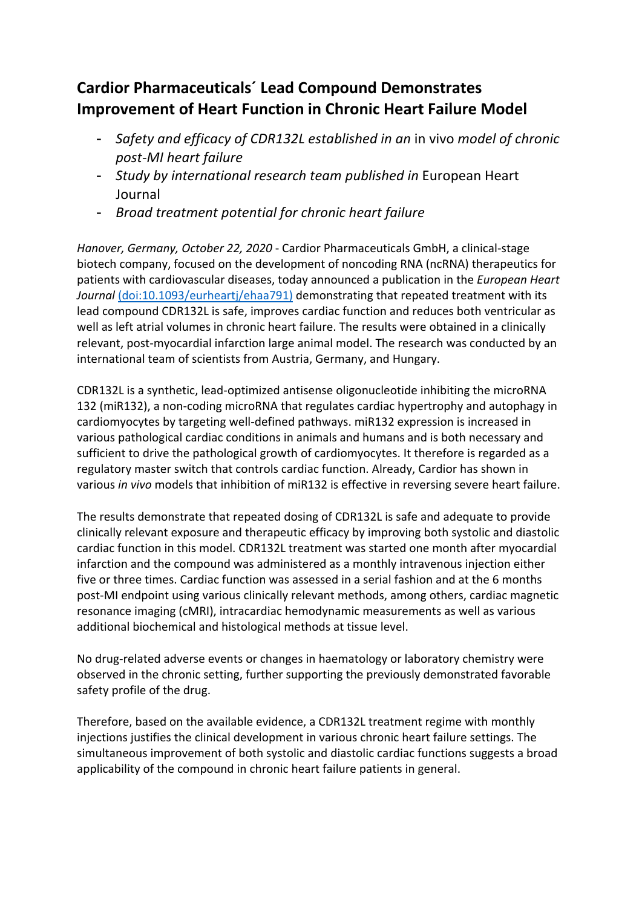## **Cardior Pharmaceuticals´ Lead Compound Demonstrates Improvement of Heart Function in Chronic Heart Failure Model**

- *Safety and efficacy of CDR132L established in an* in vivo *model of chronic post-MI heart failure*
- *Study by international research team published in* European Heart Journal
- *Broad treatment potential for chronic heart failure*

*Hanover, Germany, October 22, 2020* - Cardior Pharmaceuticals GmbH, a clinical-stage biotech company, focused on the development of noncoding RNA (ncRNA) therapeutics for patients with cardiovascular diseases, today announced a publication in the *European Heart Journal* (doi:10.1093/eurheartj/ehaa791) demonstrating that repeated treatment with its lead compound CDR132L is safe, improves cardiac function and reduces both ventricular as well as left atrial volumes in chronic heart failure. The results were obtained in a clinically relevant, post-myocardial infarction large animal model. The research was conducted by an international team of scientists from Austria, Germany, and Hungary.

CDR132L is a synthetic, lead-optimized antisense oligonucleotide inhibiting the microRNA 132 (miR132), a non-coding microRNA that regulates cardiac hypertrophy and autophagy in cardiomyocytes by targeting well-defined pathways. miR132 expression is increased in various pathological cardiac conditions in animals and humans and is both necessary and sufficient to drive the pathological growth of cardiomyocytes. It therefore is regarded as a regulatory master switch that controls cardiac function. Already, Cardior has shown in various *in vivo* models that inhibition of miR132 is effective in reversing severe heart failure.

The results demonstrate that repeated dosing of CDR132L is safe and adequate to provide clinically relevant exposure and therapeutic efficacy by improving both systolic and diastolic cardiac function in this model. CDR132L treatment was started one month after myocardial infarction and the compound was administered as a monthly intravenous injection either five or three times. Cardiac function was assessed in a serial fashion and at the 6 months post-MI endpoint using various clinically relevant methods, among others, cardiac magnetic resonance imaging (cMRI), intracardiac hemodynamic measurements as well as various additional biochemical and histological methods at tissue level.

No drug-related adverse events or changes in haematology or laboratory chemistry were observed in the chronic setting, further supporting the previously demonstrated favorable safety profile of the drug.

Therefore, based on the available evidence, a CDR132L treatment regime with monthly injections justifies the clinical development in various chronic heart failure settings. The simultaneous improvement of both systolic and diastolic cardiac functions suggests a broad applicability of the compound in chronic heart failure patients in general.